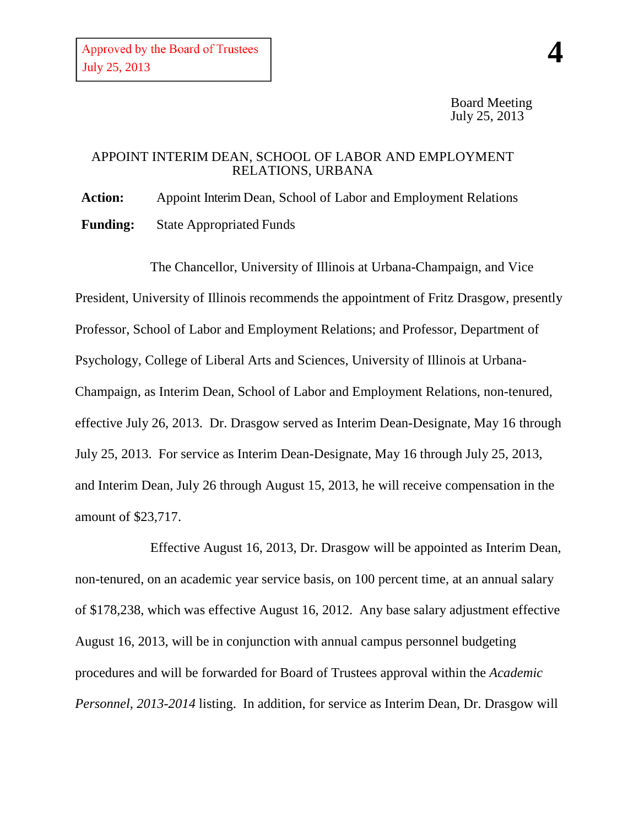## APPOINT INTERIM DEAN, SCHOOL OF LABOR AND EMPLOYMENT RELATIONS, URBANA

**Action:** Appoint Interim Dean, School of Labor and Employment Relations **Funding:** State Appropriated Funds

The Chancellor, University of Illinois at Urbana-Champaign, and Vice President, University of Illinois recommends the appointment of Fritz Drasgow, presently Professor, School of Labor and Employment Relations; and Professor, Department of Psychology, College of Liberal Arts and Sciences, University of Illinois at Urbana-Champaign, as Interim Dean, School of Labor and Employment Relations, non-tenured, effective July 26, 2013. Dr. Drasgow served as Interim Dean-Designate, May 16 through July 25, 2013. For service as Interim Dean-Designate, May 16 through July 25, 2013, and Interim Dean, July 26 through August 15, 2013, he will receive compensation in the amount of \$23,717.

Effective August 16, 2013, Dr. Drasgow will be appointed as Interim Dean, non-tenured, on an academic year service basis, on 100 percent time, at an annual salary of \$178,238, which was effective August 16, 2012. Any base salary adjustment effective August 16, 2013, will be in conjunction with annual campus personnel budgeting procedures and will be forwarded for Board of Trustees approval within the *Academic Personnel, 2013-2014* listing. In addition, for service as Interim Dean, Dr. Drasgow will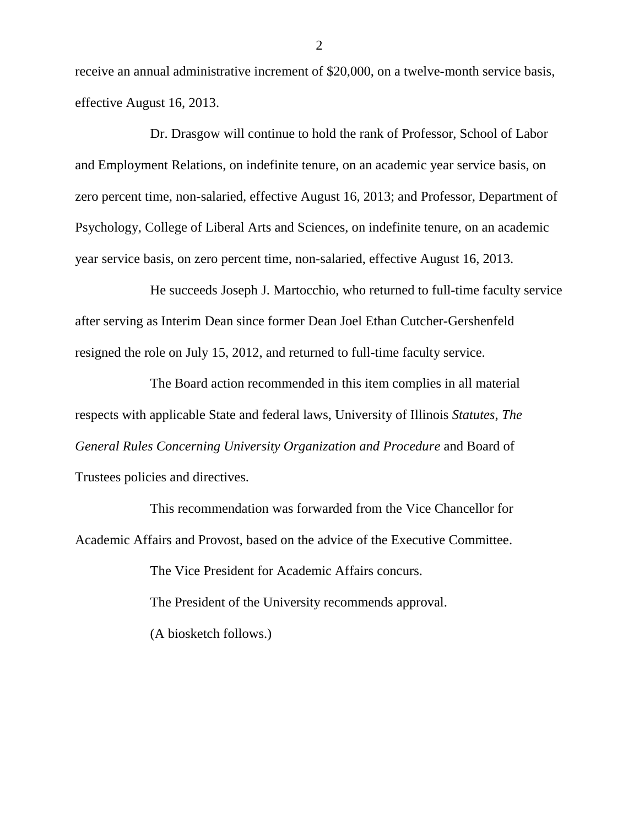receive an annual administrative increment of \$20,000, on a twelve-month service basis, effective August 16, 2013.

Dr. Drasgow will continue to hold the rank of Professor, School of Labor and Employment Relations, on indefinite tenure, on an academic year service basis, on zero percent time, non-salaried, effective August 16, 2013; and Professor, Department of Psychology, College of Liberal Arts and Sciences, on indefinite tenure, on an academic year service basis, on zero percent time, non-salaried, effective August 16, 2013.

He succeeds Joseph J. Martocchio, who returned to full-time faculty service after serving as Interim Dean since former Dean Joel Ethan Cutcher-Gershenfeld resigned the role on July 15, 2012, and returned to full-time faculty service.

The Board action recommended in this item complies in all material respects with applicable State and federal laws, University of Illinois *Statutes*, *The General Rules Concerning University Organization and Procedure* and Board of Trustees policies and directives.

This recommendation was forwarded from the Vice Chancellor for Academic Affairs and Provost, based on the advice of the Executive Committee.

> The Vice President for Academic Affairs concurs. The President of the University recommends approval. (A biosketch follows.)

2